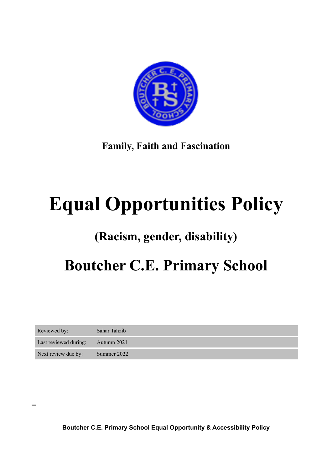

**Family, Faith and Fascination** 

# **Equal Opportunities Policy**

### **(Racism, gender, disability)**

## **Boutcher C.E. Primary School**

| Reviewed by:          | Sahar Tahzib |
|-----------------------|--------------|
| Last reviewed during: | Autumn 2021  |
| Next review due by:   | Summer 2022  |

=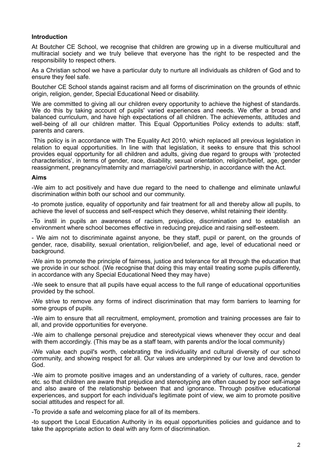#### **Introduction**

At Boutcher CE School, we recognise that children are growing up in a diverse multicultural and multiracial society and we truly believe that everyone has the right to be respected and the responsibility to respect others.

As a Christian school we have a particular duty to nurture all individuals as children of God and to ensure they feel safe.

Boutcher CE School stands against racism and all forms of discrimination on the grounds of ethnic origin, religion, gender, Special Educational Need or disability.

We are committed to giving all our children every opportunity to achieve the highest of standards. We do this by taking account of pupils' varied experiences and needs. We offer a broad and balanced curriculum, and have high expectations of all children. The achievements, attitudes and well-being of all our children matter. This Equal Opportunities Policy extends to adults: staff, parents and carers.

 This policy is in accordance with The Equality Act 2010, which replaced all previous legislation in relation to equal opportunities. In line with that legislation, it seeks to ensure that this school provides equal opportunity for all children and adults, giving due regard to groups with 'protected characteristics', in terms of gender, race, disability, sexual orientation, religion/belief, age, gender reassignment, pregnancy/maternity and marriage/civil partnership, in accordance with the Act.

#### **Aims**

-We aim to act positively and have due regard to the need to challenge and eliminate unlawful discrimination within both our school and our community.

-to promote justice, equality of opportunity and fair treatment for all and thereby allow all pupils, to achieve the level of success and self-respect which they deserve, whilst retaining their identity.

-To instil in pupils an awareness of racism, prejudice, discrimination and to establish an environment where school becomes effective in reducing prejudice and raising self-esteem.

- We aim not to discriminate against anyone, be they staff, pupil or parent, on the grounds of gender, race, disability, sexual orientation, religion/belief, and age, level of educational need or background.

-We aim to promote the principle of fairness, justice and tolerance for all through the education that we provide in our school. (We recognise that doing this may entail treating some pupils differently, in accordance with any Special Educational Need they may have)

-We seek to ensure that all pupils have equal access to the full range of educational opportunities provided by the school.

-We strive to remove any forms of indirect discrimination that may form barriers to learning for some groups of pupils.

-We aim to ensure that all recruitment, employment, promotion and training processes are fair to all, and provide opportunities for everyone.

-We aim to challenge personal prejudice and stereotypical views whenever they occur and deal with them accordingly. (This may be as a staff team, with parents and/or the local community)

-We value each pupil's worth, celebrating the individuality and cultural diversity of our school community, and showing respect for all. Our values are underpinned by our love and devotion to God.

-We aim to promote positive images and an understanding of a variety of cultures, race, gender etc. so that children are aware that prejudice and stereotyping are often caused by poor self-image and also aware of the relationship between that and ignorance. Through positive educational experiences, and support for each individual's legitimate point of view, we aim to promote positive social attitudes and respect for all.

-To provide a safe and welcoming place for all of its members.

-to support the Local Education Authority in its equal opportunities policies and guidance and to take the appropriate action to deal with any form of discrimination.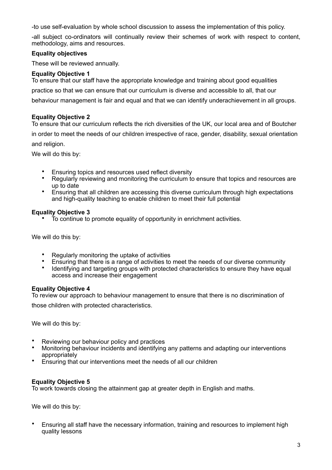-to use self-evaluation by whole school discussion to assess the implementation of this policy.

-all subject co-ordinators will continually review their schemes of work with respect to content, methodology, aims and resources.

#### **Equality objectives**

These will be reviewed annually.

#### **Equality Objective 1**

To ensure that our staff have the appropriate knowledge and training about good equalities practice so that we can ensure that our curriculum is diverse and accessible to all, that our behaviour management is fair and equal and that we can identify underachievement in all groups.

#### **Equality Objective 2**

To ensure that our curriculum reflects the rich diversities of the UK, our local area and of Boutcher in order to meet the needs of our children irrespective of race, gender, disability, sexual orientation and religion.

We will do this by:

- Ensuring topics and resources used reflect diversity<br>• Requierly reviewing and monitoring the curriculum to
- Regularly reviewing and monitoring the curriculum to ensure that topics and resources are up to date
- Ensuring that all children are accessing this diverse curriculum through high expectations and high-quality teaching to enable children to meet their full potential

#### **Equality Objective 3**

• To continue to promote equality of opportunity in enrichment activities.

We will do this by:

- Regularly monitoring the uptake of activities
- Ensuring that there is a range of activities to meet the needs of our diverse community<br>• Identifying and terrating groups with protocode eleganteriating to appure that have agu
- Identifying and targeting groups with protected characteristics to ensure they have equal access and increase their engagement

#### **Equality Objective 4**

To review our approach to behaviour management to ensure that there is no discrimination of those children with protected characteristics.

We will do this by:

- Reviewing our behaviour policy and practices
- Monitoring behaviour incidents and identifying any patterns and adapting our interventions appropriately
- Ensuring that our interventions meet the needs of all our children

#### **Equality Objective 5**

To work towards closing the attainment gap at greater depth in English and maths.

We will do this by:

• Ensuring all staff have the necessary information, training and resources to implement high quality lessons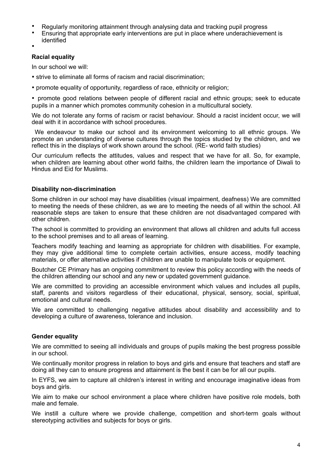- Regularly monitoring attainment through analysing data and tracking pupil progress
- Ensuring that appropriate early interventions are put in place where underachievement is identified
- •

#### **Racial equality**

In our school we will:

- strive to eliminate all forms of racism and racial discrimination;
- promote equality of opportunity, regardless of race, ethnicity or religion;

• promote good relations between people of different racial and ethnic groups; seek to educate pupils in a manner which promotes community cohesion in a multicultural society.

We do not tolerate any forms of racism or racist behaviour. Should a racist incident occur, we will deal with it in accordance with school procedures.

 We endeavour to make our school and its environment welcoming to all ethnic groups. We promote an understanding of diverse cultures through the topics studied by the children, and we reflect this in the displays of work shown around the school. (RE- world faith studies)

Our curriculum reflects the attitudes, values and respect that we have for all. So, for example, when children are learning about other world faiths, the children learn the importance of Diwali to Hindus and Eid for Muslims.

#### **Disability non-discrimination**

Some children in our school may have disabilities (visual impairment, deafness) We are committed to meeting the needs of these children, as we are to meeting the needs of all within the school. All reasonable steps are taken to ensure that these children are not disadvantaged compared with other children.

The school is committed to providing an environment that allows all children and adults full access to the school premises and to all areas of learning.

Teachers modify teaching and learning as appropriate for children with disabilities. For example, they may give additional time to complete certain activities, ensure access, modify teaching materials, or offer alternative activities if children are unable to manipulate tools or equipment.

Boutcher CE Primary has an ongoing commitment to review this policy according with the needs of the children attending our school and any new or updated government guidance.

We are committed to providing an accessible environment which values and includes all pupils, staff, parents and visitors regardless of their educational, physical, sensory, social, spiritual, emotional and cultural needs.

We are committed to challenging negative attitudes about disability and accessibility and to developing a culture of awareness, tolerance and inclusion.

#### **Gender equality**

We are committed to seeing all individuals and groups of pupils making the best progress possible in our school.

We continually monitor progress in relation to boys and girls and ensure that teachers and staff are doing all they can to ensure progress and attainment is the best it can be for all our pupils.

In EYFS, we aim to capture all children's interest in writing and encourage imaginative ideas from boys and girls.

We aim to make our school environment a place where children have positive role models, both male and female.

We instill a culture where we provide challenge, competition and short-term goals without stereotyping activities and subjects for boys or girls.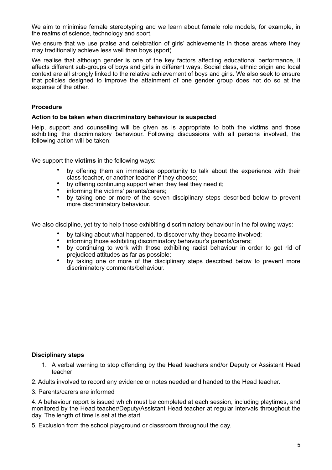We aim to minimise female stereotyping and we learn about female role models, for example, in the realms of science, technology and sport.

We ensure that we use praise and celebration of girls' achievements in those areas where they may traditionally achieve less well than boys (sport)

We realise that although gender is one of the key factors affecting educational performance, it affects different sub-groups of boys and girls in different ways. Social class, ethnic origin and local context are all strongly linked to the relative achievement of boys and girls. We also seek to ensure that policies designed to improve the attainment of one gender group does not do so at the expense of the other.

#### **Procedure**

#### **Action to be taken when discriminatory behaviour is suspected**

Help, support and counselling will be given as is appropriate to both the victims and those exhibiting the discriminatory behaviour. Following discussions with all persons involved, the following action will be taken:-

We support the **victims** in the following ways:

- by offering them an immediate opportunity to talk about the experience with their class teacher, or another teacher if they choose;
- by offering continuing support when they feel they need it;
- informing the victims' parents/carers:
- by taking one or more of the seven disciplinary steps described below to prevent more discriminatory behaviour.

We also discipline, yet try to help those exhibiting discriminatory behaviour in the following ways:

- by talking about what happened, to discover why they became involved;
- informing those exhibiting discriminatory behaviour's parents/carers;
- by continuing to work with those exhibiting racist behaviour in order to get rid of prejudiced attitudes as far as possible;
- by taking one or more of the disciplinary steps described below to prevent more discriminatory comments/behaviour.

#### **Disciplinary steps**

1. A verbal warning to stop offending by the Head teachers and/or Deputy or Assistant Head teacher

2. Adults involved to record any evidence or notes needed and handed to the Head teacher.

3. Parents/carers are informed

4. A behaviour report is issued which must be completed at each session, including playtimes, and monitored by the Head teacher/Deputy/Assistant Head teacher at regular intervals throughout the day. The length of time is set at the start

5. Exclusion from the school playground or classroom throughout the day.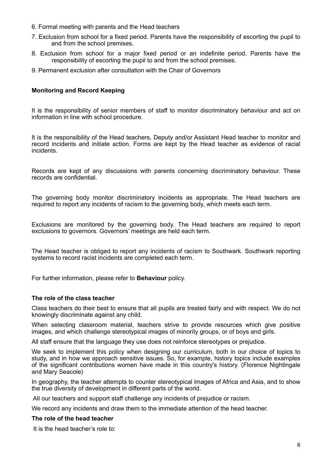- 6. Formal meeting with parents and the Head teachers
- 7. Exclusion from school for a fixed period. Parents have the responsibility of escorting the pupil to and from the school premises.
- 8. Exclusion from school for a major fixed period or an indefinite period. Parents have the responsibility of escorting the pupil to and from the school premises.
- 9. Permanent exclusion after consultation with the Chair of Governors

#### **Monitoring and Record Keeping**

It is the responsibility of senior members of staff to monitor discriminatory behaviour and act on information in line with school procedure.

It is the responsibility of the Head teachers, Deputy and/or Assistant Head teacher to monitor and record incidents and initiate action. Forms are kept by the Head teacher as evidence of racial incidents.

Records are kept of any discussions with parents concerning discriminatory behaviour. These records are confidential.

The governing body monitor discriminatory incidents as appropriate. The Head teachers are required to report any incidents of racism to the governing body, which meets each term.

Exclusions are monitored by the governing body. The Head teachers are required to report exclusions to governors. Governors' meetings are held each term.

The Head teacher is obliged to report any incidents of racism to Southwark. Southwark reporting systems to record racist incidents are completed each term.

For further information, please refer to **Behaviour** policy.

#### **The role of the class teacher**

Class teachers do their best to ensure that all pupils are treated fairly and with respect. We do not knowingly discriminate against any child.

When selecting classroom material, teachers strive to provide resources which give positive images, and which challenge stereotypical images of minority groups, or of boys and girls.

All staff ensure that the language they use does not reinforce stereotypes or prejudice.

We seek to implement this policy when designing our curriculum, both in our choice of topics to study, and in how we approach sensitive issues. So, for example, history topics include examples of the significant contributions women have made in this country's history. (Florence Nightingale and Mary Seacole)

In geography, the teacher attempts to counter stereotypical images of Africa and Asia, and to show the true diversity of development in different parts of the world.

All our teachers and support staff challenge any incidents of prejudice or racism.

We record any incidents and draw them to the immediate attention of the head teacher.

#### **The role of the head teacher**

It is the head teacher's role to: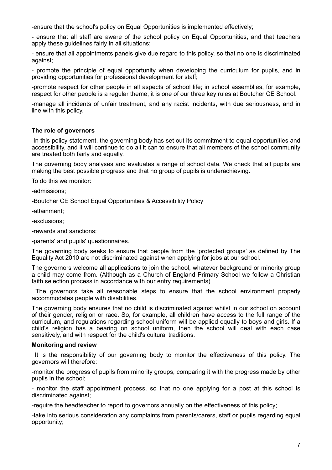-ensure that the school's policy on Equal Opportunities is implemented effectively;

- ensure that all staff are aware of the school policy on Equal Opportunities, and that teachers apply these guidelines fairly in all situations;

- ensure that all appointments panels give due regard to this policy, so that no one is discriminated against;

- promote the principle of equal opportunity when developing the curriculum for pupils, and in providing opportunities for professional development for staff;

-promote respect for other people in all aspects of school life; in school assemblies, for example, respect for other people is a regular theme, it is one of our three key rules at Boutcher CE School.

-manage all incidents of unfair treatment, and any racist incidents, with due seriousness, and in line with this policy.

#### **The role of governors**

 In this policy statement, the governing body has set out its commitment to equal opportunities and accessibility, and it will continue to do all it can to ensure that all members of the school community are treated both fairly and equally.

The governing body analyses and evaluates a range of school data. We check that all pupils are making the best possible progress and that no group of pupils is underachieving.

To do this we monitor:

-admissions;

-Boutcher CE School Equal Opportunities & Accessibility Policy

-attainment;

-exclusions;

-rewards and sanctions;

-parents' and pupils' questionnaires.

The governing body seeks to ensure that people from the 'protected groups' as defined by The Equality Act 2010 are not discriminated against when applying for jobs at our school.

The governors welcome all applications to join the school, whatever background or minority group a child may come from. (Although as a Church of England Primary School we follow a Christian faith selection process in accordance with our entry requirements)

 The governors take all reasonable steps to ensure that the school environment properly accommodates people with disabilities.

The governing body ensures that no child is discriminated against whilst in our school on account of their gender, religion or race. So, for example, all children have access to the full range of the curriculum, and regulations regarding school uniform will be applied equally to boys and girls. If a child's religion has a bearing on school uniform, then the school will deal with each case sensitively, and with respect for the child's cultural traditions.

#### **Monitoring and review**

 It is the responsibility of our governing body to monitor the effectiveness of this policy. The governors will therefore:

-monitor the progress of pupils from minority groups, comparing it with the progress made by other pupils in the school;

- monitor the staff appointment process, so that no one applying for a post at this school is discriminated against;

-require the headteacher to report to governors annually on the effectiveness of this policy;

-take into serious consideration any complaints from parents/carers, staff or pupils regarding equal opportunity;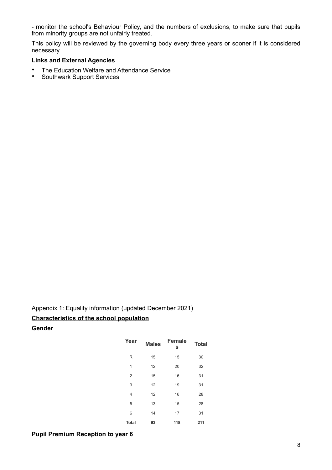- monitor the school's Behaviour Policy, and the numbers of exclusions, to make sure that pupils from minority groups are not unfairly treated.

This policy will be reviewed by the governing body every three years or sooner if it is considered necessary.

#### **Links and External Agencies**

- The Education Welfare and Attendance Service<br>• Southwark Support Services
- Southwark Support Services

Appendix 1: Equality information (updated December 2021) **Characteristics of the school population** 

**Gender** 

| Year           | <b>Males</b> | <b>Female</b><br>s | <b>Total</b> |
|----------------|--------------|--------------------|--------------|
| R              | 15           | 15                 | 30           |
| 1              | 12           | 20                 | 32           |
| $\overline{2}$ | 15           | 16                 | 31           |
| 3              | 12           | 19                 | 31           |
| 4              | 12           | 16                 | 28           |
| 5              | 13           | 15                 | 28           |
| 6              | 14           | 17                 | 31           |
| <b>Total</b>   | 93           | 118                | 211          |

#### **Pupil Premium Reception to year 6**